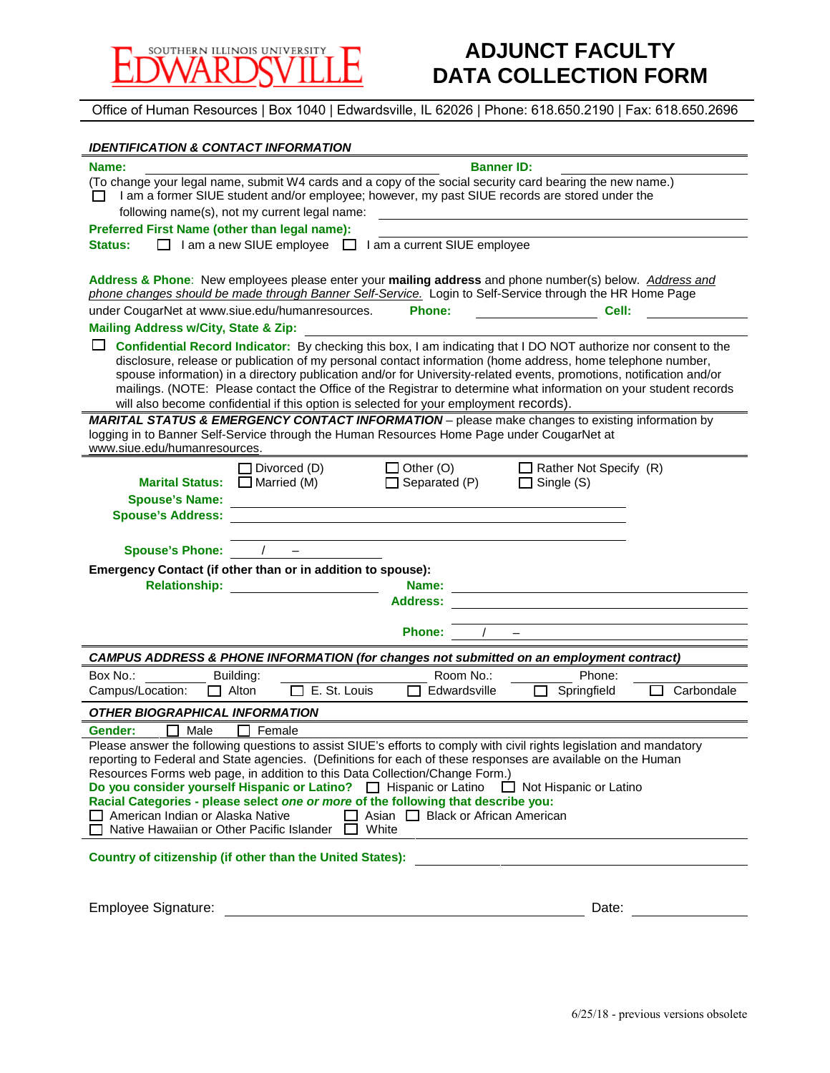

## **ADJUNCT FACULTY DATA COLLECTION FORM**

Office of Human Resources | Box 1040 | Edwardsville, IL 62026 | Phone: 618.650.2190 | Fax: 618.650.2696

| <b>IDENTIFICATION &amp; CONTACT INFORMATION</b>                                                                                                                                                                                                                                                                                                                                                                                                                                                                                                                                                                                                                 |  |  |
|-----------------------------------------------------------------------------------------------------------------------------------------------------------------------------------------------------------------------------------------------------------------------------------------------------------------------------------------------------------------------------------------------------------------------------------------------------------------------------------------------------------------------------------------------------------------------------------------------------------------------------------------------------------------|--|--|
| <b>Banner ID:</b><br>Name:                                                                                                                                                                                                                                                                                                                                                                                                                                                                                                                                                                                                                                      |  |  |
| (To change your legal name, submit W4 cards and a copy of the social security card bearing the new name.)<br>I am a former SIUE student and/or employee; however, my past SIUE records are stored under the<br>following name(s), not my current legal name:                                                                                                                                                                                                                                                                                                                                                                                                    |  |  |
| Preferred First Name (other than legal name):                                                                                                                                                                                                                                                                                                                                                                                                                                                                                                                                                                                                                   |  |  |
| □ I am a new SIUE employee □ I am a current SIUE employee<br><b>Status:</b>                                                                                                                                                                                                                                                                                                                                                                                                                                                                                                                                                                                     |  |  |
| Address & Phone: New employees please enter your mailing address and phone number(s) below. Address and<br>phone changes should be made through Banner Self-Service. Login to Self-Service through the HR Home Page<br><b>Phone:</b><br>under CougarNet at www.siue.edu/humanresources.<br>Cell:                                                                                                                                                                                                                                                                                                                                                                |  |  |
| Mailing Address w/City, State & Zip:                                                                                                                                                                                                                                                                                                                                                                                                                                                                                                                                                                                                                            |  |  |
| Confidential Record Indicator: By checking this box, I am indicating that I DO NOT authorize nor consent to the<br>disclosure, release or publication of my personal contact information (home address, home telephone number,<br>spouse information) in a directory publication and/or for University-related events, promotions, notification and/or<br>mailings. (NOTE: Please contact the Office of the Registrar to determine what information on your student records<br>will also become confidential if this option is selected for your employment records).                                                                                           |  |  |
| <b>MARITAL STATUS &amp; EMERGENCY CONTACT INFORMATION</b> – please make changes to existing information by<br>logging in to Banner Self-Service through the Human Resources Home Page under CougarNet at<br>www.siue.edu/humanresources.                                                                                                                                                                                                                                                                                                                                                                                                                        |  |  |
| $\Box$ Other (O)<br>$\Box$ Divorced (D)<br>$\Box$ Rather Not Specify (R)<br><b>Marital Status:</b><br>$\Box$ Married (M)<br>$\Box$ Separated (P)<br>$\Box$ Single (S)<br><b>Spouse's Name:</b><br><u> 1989 - Johann Stein, mars an deutscher Stein († 1989)</u><br><b>Spouse's Address:</b>                                                                                                                                                                                                                                                                                                                                                                     |  |  |
| Spouse's Phone: / -                                                                                                                                                                                                                                                                                                                                                                                                                                                                                                                                                                                                                                             |  |  |
| Emergency Contact (if other than or in addition to spouse):                                                                                                                                                                                                                                                                                                                                                                                                                                                                                                                                                                                                     |  |  |
| <b>Relationship:</b><br>Name:<br><b>Address:</b>                                                                                                                                                                                                                                                                                                                                                                                                                                                                                                                                                                                                                |  |  |
|                                                                                                                                                                                                                                                                                                                                                                                                                                                                                                                                                                                                                                                                 |  |  |
| <b>Phone:</b><br>$\overline{\phantom{m}}$                                                                                                                                                                                                                                                                                                                                                                                                                                                                                                                                                                                                                       |  |  |
| CAMPUS ADDRESS & PHONE INFORMATION (for changes not submitted on an employment contract)                                                                                                                                                                                                                                                                                                                                                                                                                                                                                                                                                                        |  |  |
| Room No.:<br>Box No.:<br>Building:<br>Phone:                                                                                                                                                                                                                                                                                                                                                                                                                                                                                                                                                                                                                    |  |  |
| $\Box$ Alton<br>E. St. Louis<br>Campus/Location:<br>$\Box$ Edwardsville<br>Springfield<br>Carbondale<br>П                                                                                                                                                                                                                                                                                                                                                                                                                                                                                                                                                       |  |  |
| <b>OTHER BIOGRAPHICAL INFORMATION</b>                                                                                                                                                                                                                                                                                                                                                                                                                                                                                                                                                                                                                           |  |  |
| <b>Gender:</b><br>Male<br>Female                                                                                                                                                                                                                                                                                                                                                                                                                                                                                                                                                                                                                                |  |  |
| Please answer the following questions to assist SIUE's efforts to comply with civil rights legislation and mandatory<br>reporting to Federal and State agencies. (Definitions for each of these responses are available on the Human<br>Resources Forms web page, in addition to this Data Collection/Change Form.)<br>Do you consider yourself Hispanic or Latino? $\Box$ Hispanic or Latino $\Box$ Not Hispanic or Latino<br>Racial Categories - please select one or more of the following that describe you:<br>□ Asian □ Black or African American<br>$\Box$ American Indian or Alaska Native<br>Native Hawaiian or Other Pacific Islander $\Box$<br>White |  |  |
| Country of citizenship (if other than the United States):<br><u> 1980 - Johann John Stone, markin film yn y brening yn y brening yn y brening yn y brening y brening yn y bre</u>                                                                                                                                                                                                                                                                                                                                                                                                                                                                               |  |  |

Employee Signature: Date: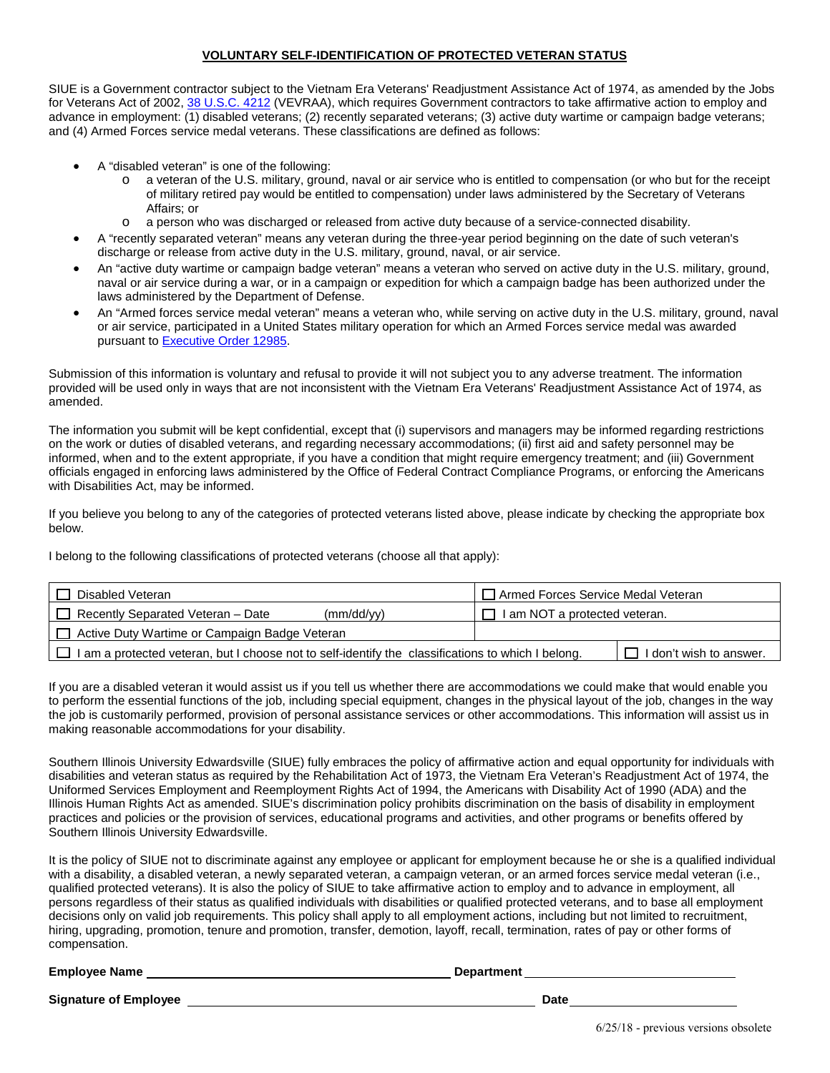## **VOLUNTARY SELF-IDENTIFICATION OF PROTECTED VETERAN STATUS**

SIUE is a Government contractor subject to the Vietnam Era Veterans' Readjustment Assistance Act of 1974, as amended by the Jobs for Veterans Act of 2002, [38 U.S.C. 4212](http://api.fdsys.gov/link?collection=uscode&title=38&year=mostrecent§ion=4212&type=usc&link-type=html) (VEVRAA), which requires Government contractors to take affirmative action to employ and advance in employment: (1) disabled veterans; (2) recently separated veterans; (3) active duty wartime or campaign badge veterans; and (4) Armed Forces service medal veterans. These classifications are defined as follows:

- A "disabled veteran" is one of the following:
	- o a veteran of the U.S. military, ground, naval or air service who is entitled to compensation (or who but for the receipt of military retired pay would be entitled to compensation) under laws administered by the Secretary of Veterans Affairs; or
	- o a person who was discharged or released from active duty because of a service-connected disability.
- A "recently separated veteran" means any veteran during the three-year period beginning on the date of such veteran's discharge or release from active duty in the U.S. military, ground, naval, or air service.
- An "active duty wartime or campaign badge veteran" means a veteran who served on active duty in the U.S. military, ground, naval or air service during a war, or in a campaign or expedition for which a campaign badge has been authorized under the laws administered by the Department of Defense.
- An "Armed forces service medal veteran" means a veteran who, while serving on active duty in the U.S. military, ground, naval or air service, participated in a United States military operation for which an Armed Forces service medal was awarded pursuant t[o Executive Order 12985.](https://www.federalregister.gov/executive-order/12985)

Submission of this information is voluntary and refusal to provide it will not subject you to any adverse treatment. The information provided will be used only in ways that are not inconsistent with the Vietnam Era Veterans' Readjustment Assistance Act of 1974, as amended.

The information you submit will be kept confidential, except that (i) supervisors and managers may be informed regarding restrictions on the work or duties of disabled veterans, and regarding necessary accommodations; (ii) first aid and safety personnel may be informed, when and to the extent appropriate, if you have a condition that might require emergency treatment; and (iii) Government officials engaged in enforcing laws administered by the Office of Federal Contract Compliance Programs, or enforcing the Americans with Disabilities Act, may be informed.

If you believe you belong to any of the categories of protected veterans listed above, please indicate by checking the appropriate box below.

I belong to the following classifications of protected veterans (choose all that apply):

| Disabled Veteran                                                                                                            | I □ Armed Forces Service Medal Veteran |
|-----------------------------------------------------------------------------------------------------------------------------|----------------------------------------|
| Recently Separated Veteran - Date<br>(mm/dd/yy)                                                                             | $\Box$ I am NOT a protected veteran.   |
| □ Active Duty Wartime or Campaign Badge Veteran                                                                             |                                        |
| I am a protected veteran, but I choose not to self-identify the classifications to which I belong.<br>don't wish to answer. |                                        |

If you are a disabled veteran it would assist us if you tell us whether there are accommodations we could make that would enable you to perform the essential functions of the job, including special equipment, changes in the physical layout of the job, changes in the way the job is customarily performed, provision of personal assistance services or other accommodations. This information will assist us in making reasonable accommodations for your disability.

Southern Illinois University Edwardsville (SIUE) fully embraces the policy of affirmative action and equal opportunity for individuals with disabilities and veteran status as required by the Rehabilitation Act of 1973, the Vietnam Era Veteran's Readjustment Act of 1974, the Uniformed Services Employment and Reemployment Rights Act of 1994, the Americans with Disability Act of 1990 (ADA) and the Illinois Human Rights Act as amended. SIUE's discrimination policy prohibits discrimination on the basis of disability in employment practices and policies or the provision of services, educational programs and activities, and other programs or benefits offered by Southern Illinois University Edwardsville.

It is the policy of SIUE not to discriminate against any employee or applicant for employment because he or she is a qualified individual with a disability, a disabled veteran, a newly separated veteran, a campaign veteran, or an armed forces service medal veteran (i.e., qualified protected veterans). It is also the policy of SIUE to take affirmative action to employ and to advance in employment, all persons regardless of their status as qualified individuals with disabilities or qualified protected veterans, and to base all employment decisions only on valid job requirements. This policy shall apply to all employment actions, including but not limited to recruitment, hiring, upgrading, promotion, tenure and promotion, transfer, demotion, layoff, recall, termination, rates of pay or other forms of compensation.

**Employee Name Department Department** 

**Signature of Employee** *Date* **Date Date Date Date Date Date Date Date Date Date Date Date Date Date Date Date Date Date Date Date Date Date Date Date Date Date Date**